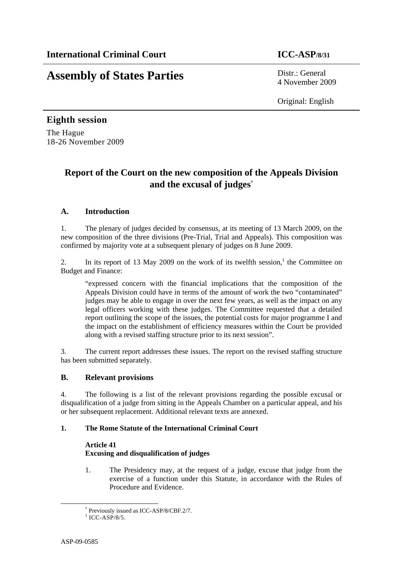# **Assembly of States Parties** Distr.: General

4 November 2009

Original: English

## **Eighth session**  The Hague

18-26 November 2009

## **Report of the Court on the new composition of the Appeals Division and the excusal of judges**\*

## **A. Introduction**

1. The plenary of judges decided by consensus, at its meeting of 13 March 2009, on the new composition of the three divisions (Pre-Trial, Trial and Appeals). This composition was confirmed by majority vote at a subsequent plenary of judges on 8 June 2009.

2. In its report of 13 May 2009 on the work of its twelfth session,<sup>1</sup> the Committee on Budget and Finance:

"expressed concern with the financial implications that the composition of the Appeals Division could have in terms of the amount of work the two "contaminated" judges may be able to engage in over the next few years, as well as the impact on any legal officers working with these judges. The Committee requested that a detailed report outlining the scope of the issues, the potential costs for major programme I and the impact on the establishment of efficiency measures within the Court be provided along with a revised staffing structure prior to its next session".

3. The current report addresses these issues. The report on the revised staffing structure has been submitted separately.

#### **B. Relevant provisions**

4. The following is a list of the relevant provisions regarding the possible excusal or disqualification of a judge from sitting in the Appeals Chamber on a particular appeal, and his or her subsequent replacement. Additional relevant texts are annexed.

#### **1. The Rome Statute of the International Criminal Court**

#### **Article 41 Excusing and disqualification of judges**

1. The Presidency may, at the request of a judge, excuse that judge from the exercise of a function under this Statute, in accordance with the Rules of Procedure and Evidence.

 \* Previously issued as ICC-ASP/8/CBF.2/7.

 $1$  ICC-ASP/8/5.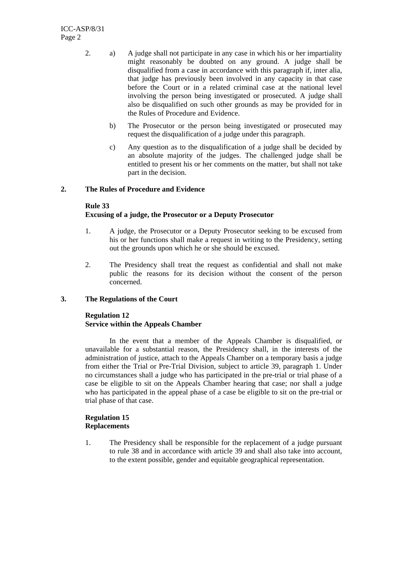- 2. a) A judge shall not participate in any case in which his or her impartiality might reasonably be doubted on any ground. A judge shall be disqualified from a case in accordance with this paragraph if, inter alia, that judge has previously been involved in any capacity in that case before the Court or in a related criminal case at the national level involving the person being investigated or prosecuted. A judge shall also be disqualified on such other grounds as may be provided for in the Rules of Procedure and Evidence.
	- b) The Prosecutor or the person being investigated or prosecuted may request the disqualification of a judge under this paragraph.
	- c) Any question as to the disqualification of a judge shall be decided by an absolute majority of the judges. The challenged judge shall be entitled to present his or her comments on the matter, but shall not take part in the decision.

#### **2. The Rules of Procedure and Evidence**

#### **Rule 33**

#### **Excusing of a judge, the Prosecutor or a Deputy Prosecutor**

- 1. A judge, the Prosecutor or a Deputy Prosecutor seeking to be excused from his or her functions shall make a request in writing to the Presidency, setting out the grounds upon which he or she should be excused.
- 2. The Presidency shall treat the request as confidential and shall not make public the reasons for its decision without the consent of the person concerned.

#### **3. The Regulations of the Court**

#### **Regulation 12 Service within the Appeals Chamber**

In the event that a member of the Appeals Chamber is disqualified, or unavailable for a substantial reason, the Presidency shall, in the interests of the administration of justice, attach to the Appeals Chamber on a temporary basis a judge from either the Trial or Pre-Trial Division, subject to article 39, paragraph 1. Under no circumstances shall a judge who has participated in the pre-trial or trial phase of a case be eligible to sit on the Appeals Chamber hearing that case; nor shall a judge who has participated in the appeal phase of a case be eligible to sit on the pre-trial or trial phase of that case.

#### **Regulation 15 Replacements**

1. The Presidency shall be responsible for the replacement of a judge pursuant to rule 38 and in accordance with article 39 and shall also take into account, to the extent possible, gender and equitable geographical representation.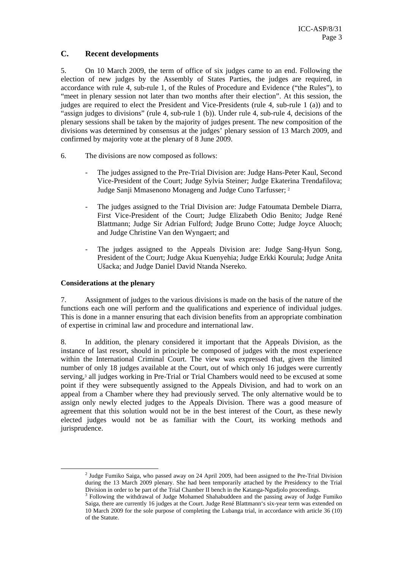#### **C. Recent developments**

5. On 10 March 2009, the term of office of six judges came to an end. Following the election of new judges by the Assembly of States Parties, the judges are required, in accordance with rule 4, sub-rule 1, of the Rules of Procedure and Evidence ("the Rules"), to "meet in plenary session not later than two months after their election". At this session, the judges are required to elect the President and Vice-Presidents (rule 4, sub-rule 1 (a)) and to "assign judges to divisions" (rule 4, sub-rule 1 (b)). Under rule 4, sub-rule 4, decisions of the plenary sessions shall be taken by the majority of judges present. The new composition of the divisions was determined by consensus at the judges' plenary session of 13 March 2009, and confirmed by majority vote at the plenary of 8 June 2009.

- 6. The divisions are now composed as follows:
	- The judges assigned to the Pre-Trial Division are: Judge Hans-Peter Kaul, Second Vice-President of the Court; Judge Sylvia Steiner; Judge Ekaterina Trendafilova; Judge Sanji Mmasenono Monageng and Judge Cuno Tarfusser; <sup>2</sup>
	- The judges assigned to the Trial Division are: Judge Fatoumata Dembele Diarra, First Vice-President of the Court; Judge Elizabeth Odio Benito; Judge René Blattmann; Judge Sir Adrian Fulford; Judge Bruno Cotte; Judge Joyce Aluoch; and Judge Christine Van den Wyngaert; and
	- The judges assigned to the Appeals Division are: Judge Sang-Hyun Song, President of the Court; Judge Akua Kuenyehia; Judge Erkki Kourula; Judge Anita Ušacka; and Judge Daniel David Ntanda Nsereko.

#### **Considerations at the plenary**

7. Assignment of judges to the various divisions is made on the basis of the nature of the functions each one will perform and the qualifications and experience of individual judges. This is done in a manner ensuring that each division benefits from an appropriate combination of expertise in criminal law and procedure and international law.

8. In addition, the plenary considered it important that the Appeals Division, as the instance of last resort, should in principle be composed of judges with the most experience within the International Criminal Court. The view was expressed that, given the limited number of only 18 judges available at the Court, out of which only 16 judges were currently serving,<sup>3</sup> all judges working in Pre-Trial or Trial Chambers would need to be excused at some point if they were subsequently assigned to the Appeals Division, and had to work on an appeal from a Chamber where they had previously served. The only alternative would be to assign only newly elected judges to the Appeals Division. There was a good measure of agreement that this solution would not be in the best interest of the Court, as these newly elected judges would not be as familiar with the Court, its working methods and jurisprudence.

<sup>&</sup>lt;sup>2</sup> Judge Fumiko Saiga, who passed away on 24 April 2009, had been assigned to the Pre-Trial Division during the 13 March 2009 plenary. She had been temporarily attached by the Presidency to the Trial Division in order to be part of the Trial Chamber II bench in the Katanga-Ngudjolo proceedings. 3

<sup>&</sup>lt;sup>3</sup> Following the withdrawal of Judge Mohamed Shahabuddeen and the passing away of Judge Fumiko Saiga, there are currently 16 judges at the Court. Judge René Blattmann's six-year term was extended on 10 March 2009 for the sole purpose of completing the Lubanga trial, in accordance with article 36 (10) of the Statute.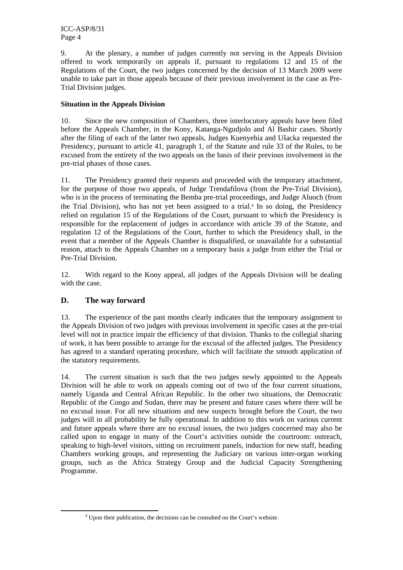9. At the plenary, a number of judges currently not serving in the Appeals Division offered to work temporarily on appeals if, pursuant to regulations 12 and 15 of the Regulations of the Court, the two judges concerned by the decision of 13 March 2009 were unable to take part in those appeals because of their previous involvement in the case as Pre-Trial Division judges.

#### **Situation in the Appeals Division**

10. Since the new composition of Chambers, three interlocutory appeals have been filed before the Appeals Chamber, in the Kony, Katanga-Ngudjolo and Al Bashir cases. Shortly after the filing of each of the latter two appeals, Judges Kuenyehia and Ušacka requested the Presidency, pursuant to article 41, paragraph 1, of the Statute and rule 33 of the Rules, to be excused from the entirety of the two appeals on the basis of their previous involvement in the pre-trial phases of those cases.

11. The Presidency granted their requests and proceeded with the temporary attachment, for the purpose of those two appeals, of Judge Trendafilova (from the Pre-Trial Division), who is in the process of terminating the Bemba pre-trial proceedings, and Judge Aluoch (from the Trial Division), who has not yet been assigned to a trial.4 In so doing, the Presidency relied on regulation 15 of the Regulations of the Court, pursuant to which the Presidency is responsible for the replacement of judges in accordance with article 39 of the Statute, and regulation 12 of the Regulations of the Court, further to which the Presidency shall, in the event that a member of the Appeals Chamber is disqualified, or unavailable for a substantial reason, attach to the Appeals Chamber on a temporary basis a judge from either the Trial or Pre-Trial Division.

12. With regard to the Kony appeal, all judges of the Appeals Division will be dealing with the case.

### **D. The way forward**

13. The experience of the past months clearly indicates that the temporary assignment to the Appeals Division of two judges with previous involvement in specific cases at the pre-trial level will not in practice impair the efficiency of that division. Thanks to the collegial sharing of work, it has been possible to arrange for the excusal of the affected judges. The Presidency has agreed to a standard operating procedure, which will facilitate the smooth application of the statutory requirements.

14. The current situation is such that the two judges newly appointed to the Appeals Division will be able to work on appeals coming out of two of the four current situations, namely Uganda and Central African Republic. In the other two situations, the Democratic Republic of the Congo and Sudan, there may be present and future cases where there will be no excusal issue. For all new situations and new suspects brought before the Court, the two judges will in all probability be fully operational. In addition to this work on various current and future appeals where there are no excusal issues, the two judges concerned may also be called upon to engage in many of the Court's activities outside the courtroom: outreach, speaking to high-level visitors, sitting on recruitment panels, induction for new staff, heading Chambers working groups, and representing the Judiciary on various inter-organ working groups, such as the Africa Strategy Group and the Judicial Capacity Strengthening Programme.

 <sup>4</sup> Upon their publication, the decisions can be consulted on the Court's website.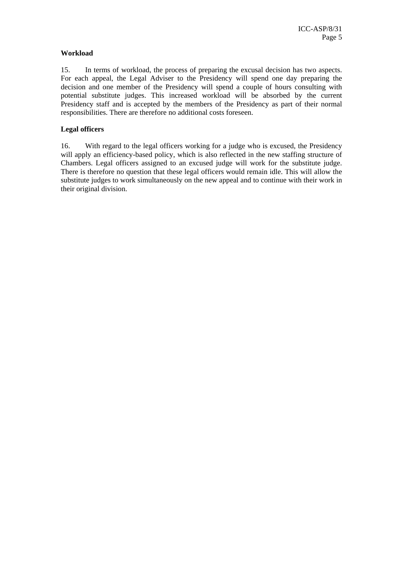#### **Workload**

15. In terms of workload, the process of preparing the excusal decision has two aspects. For each appeal, the Legal Adviser to the Presidency will spend one day preparing the decision and one member of the Presidency will spend a couple of hours consulting with potential substitute judges. This increased workload will be absorbed by the current Presidency staff and is accepted by the members of the Presidency as part of their normal responsibilities. There are therefore no additional costs foreseen.

#### **Legal officers**

16. With regard to the legal officers working for a judge who is excused, the Presidency will apply an efficiency-based policy, which is also reflected in the new staffing structure of Chambers. Legal officers assigned to an excused judge will work for the substitute judge. There is therefore no question that these legal officers would remain idle. This will allow the substitute judges to work simultaneously on the new appeal and to continue with their work in their original division.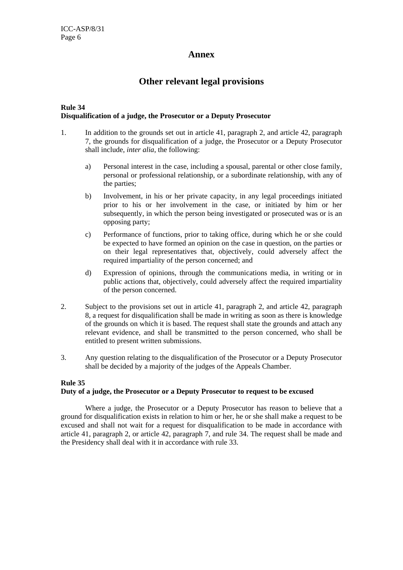#### **Annex**

## **Other relevant legal provisions**

#### **Rule 34 Disqualification of a judge, the Prosecutor or a Deputy Prosecutor**

- 1. In addition to the grounds set out in article 41, paragraph 2, and article 42, paragraph 7, the grounds for disqualification of a judge, the Prosecutor or a Deputy Prosecutor shall include, *inter alia*, the following:
	- a) Personal interest in the case, including a spousal, parental or other close family, personal or professional relationship, or a subordinate relationship, with any of the parties;
	- b) Involvement, in his or her private capacity, in any legal proceedings initiated prior to his or her involvement in the case, or initiated by him or her subsequently, in which the person being investigated or prosecuted was or is an opposing party;
	- c) Performance of functions, prior to taking office, during which he or she could be expected to have formed an opinion on the case in question, on the parties or on their legal representatives that, objectively, could adversely affect the required impartiality of the person concerned; and
	- d) Expression of opinions, through the communications media, in writing or in public actions that, objectively, could adversely affect the required impartiality of the person concerned.
- 2. Subject to the provisions set out in article 41, paragraph 2, and article 42, paragraph 8, a request for disqualification shall be made in writing as soon as there is knowledge of the grounds on which it is based. The request shall state the grounds and attach any relevant evidence, and shall be transmitted to the person concerned, who shall be entitled to present written submissions.
- 3. Any question relating to the disqualification of the Prosecutor or a Deputy Prosecutor shall be decided by a majority of the judges of the Appeals Chamber.

#### **Rule 35 Duty of a judge, the Prosecutor or a Deputy Prosecutor to request to be excused**

Where a judge, the Prosecutor or a Deputy Prosecutor has reason to believe that a ground for disqualification exists in relation to him or her, he or she shall make a request to be excused and shall not wait for a request for disqualification to be made in accordance with article 41, paragraph 2, or article 42, paragraph 7, and rule 34. The request shall be made and the Presidency shall deal with it in accordance with rule 33.